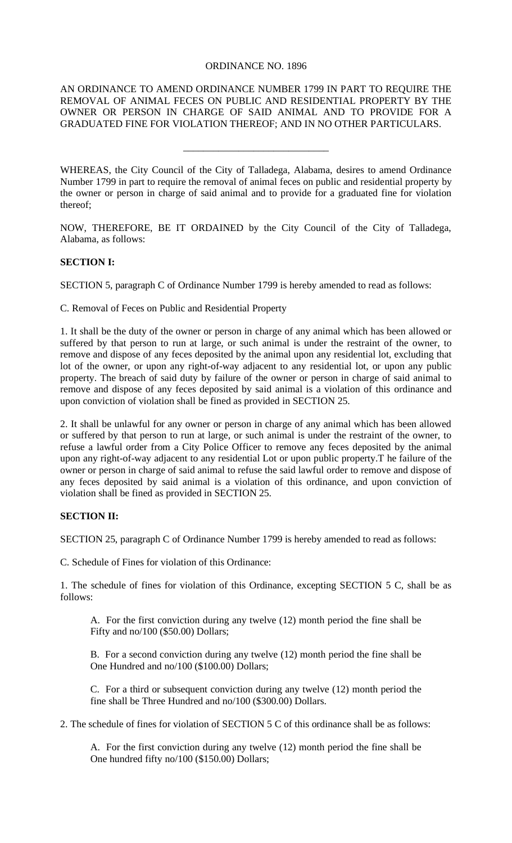## ORDINANCE NO. 1896

AN ORDINANCE TO AMEND ORDINANCE NUMBER 1799 IN PART TO REQUIRE THE REMOVAL OF ANIMAL FECES ON PUBLIC AND RESIDENTIAL PROPERTY BY THE OWNER OR PERSON IN CHARGE OF SAID ANIMAL AND TO PROVIDE FOR A GRADUATED FINE FOR VIOLATION THEREOF; AND IN NO OTHER PARTICULARS.

\_\_\_\_\_\_\_\_\_\_\_\_\_\_\_\_\_\_\_\_\_\_\_\_\_\_\_\_\_

WHEREAS, the City Council of the City of Talladega, Alabama, desires to amend Ordinance Number 1799 in part to require the removal of animal feces on public and residential property by the owner or person in charge of said animal and to provide for a graduated fine for violation thereof;

NOW, THEREFORE, BE IT ORDAINED by the City Council of the City of Talladega, Alabama, as follows:

## **SECTION I:**

SECTION 5, paragraph C of Ordinance Number 1799 is hereby amended to read as follows:

C. Removal of Feces on Public and Residential Property

1. It shall be the duty of the owner or person in charge of any animal which has been allowed or suffered by that person to run at large, or such animal is under the restraint of the owner, to remove and dispose of any feces deposited by the animal upon any residential lot, excluding that lot of the owner, or upon any right-of-way adjacent to any residential lot, or upon any public property. The breach of said duty by failure of the owner or person in charge of said animal to remove and dispose of any feces deposited by said animal is a violation of this ordinance and upon conviction of violation shall be fined as provided in SECTION 25.

2. It shall be unlawful for any owner or person in charge of any animal which has been allowed or suffered by that person to run at large, or such animal is under the restraint of the owner, to refuse a lawful order from a City Police Officer to remove any feces deposited by the animal upon any right-of-way adjacent to any residential Lot or upon public property.T he failure of the owner or person in charge of said animal to refuse the said lawful order to remove and dispose of any feces deposited by said animal is a violation of this ordinance, and upon conviction of violation shall be fined as provided in SECTION 25.

## **SECTION II:**

SECTION 25, paragraph C of Ordinance Number 1799 is hereby amended to read as follows:

C. Schedule of Fines for violation of this Ordinance:

1. The schedule of fines for violation of this Ordinance, excepting SECTION 5 C, shall be as follows:

A. For the first conviction during any twelve (12) month period the fine shall be Fifty and no/100 (\$50.00) Dollars;

B. For a second conviction during any twelve (12) month period the fine shall be One Hundred and no/100 (\$100.00) Dollars;

C. For a third or subsequent conviction during any twelve (12) month period the fine shall be Three Hundred and no/100 (\$300.00) Dollars.

2. The schedule of fines for violation of SECTION 5 C of this ordinance shall be as follows:

A. For the first conviction during any twelve (12) month period the fine shall be One hundred fifty no/100 (\$150.00) Dollars;